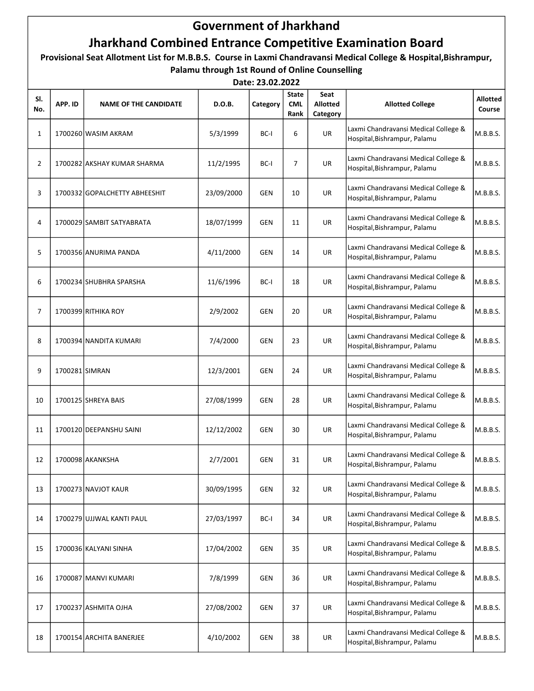## Government of Jharkhand Jharkhand Combined Entrance Competitive Examination Board

Provisional Seat Allotment List for M.B.B.S. Course in Laxmi Chandravansi Medical College & Hospital,Bishrampur, Palamu through 1st Round of Online Counselling

Date: 23.02.2022

| SI.<br>No.     | APP. ID        | <b>NAME OF THE CANDIDATE</b>  | D.O.B.     | Category   | <b>State</b><br><b>CML</b><br>Rank | Seat<br><b>Allotted</b><br>Category | <b>Allotted College</b>                                              | <b>Allotted</b><br>Course |
|----------------|----------------|-------------------------------|------------|------------|------------------------------------|-------------------------------------|----------------------------------------------------------------------|---------------------------|
| $\mathbf{1}$   |                | 1700260 WASIM AKRAM           | 5/3/1999   | BC-I       | 6                                  | UR                                  | Laxmi Chandravansi Medical College &<br>Hospital, Bishrampur, Palamu | M.B.B.S.                  |
| $\overline{2}$ |                | 1700282 AKSHAY KUMAR SHARMA   | 11/2/1995  | BC-I       | $\overline{7}$                     | UR                                  | Laxmi Chandravansi Medical College &<br>Hospital, Bishrampur, Palamu | M.B.B.S.                  |
| 3              |                | 1700332 GOPALCHETTY ABHEESHIT | 23/09/2000 | <b>GEN</b> | 10                                 | UR                                  | Laxmi Chandravansi Medical College &<br>Hospital, Bishrampur, Palamu | M.B.B.S.                  |
| 4              |                | 1700029 SAMBIT SATYABRATA     | 18/07/1999 | <b>GEN</b> | 11                                 | <b>UR</b>                           | Laxmi Chandravansi Medical College &<br>Hospital, Bishrampur, Palamu | M.B.B.S.                  |
| 5              |                | 1700356 ANURIMA PANDA         | 4/11/2000  | <b>GEN</b> | 14                                 | UR                                  | Laxmi Chandravansi Medical College &<br>Hospital, Bishrampur, Palamu | M.B.B.S.                  |
| 6              |                | 1700234 SHUBHRA SPARSHA       | 11/6/1996  | BC-I       | 18                                 | <b>UR</b>                           | Laxmi Chandravansi Medical College &<br>Hospital, Bishrampur, Palamu | M.B.B.S.                  |
| $\overline{7}$ |                | 1700399 RITHIKA ROY           | 2/9/2002   | <b>GEN</b> | 20                                 | <b>UR</b>                           | Laxmi Chandravansi Medical College &<br>Hospital, Bishrampur, Palamu | M.B.B.S.                  |
| 8              |                | 1700394 NANDITA KUMARI        | 7/4/2000   | <b>GEN</b> | 23                                 | UR                                  | Laxmi Chandravansi Medical College &<br>Hospital, Bishrampur, Palamu | M.B.B.S.                  |
| 9              | 1700281 SIMRAN |                               | 12/3/2001  | <b>GEN</b> | 24                                 | <b>UR</b>                           | Laxmi Chandravansi Medical College &<br>Hospital, Bishrampur, Palamu | M.B.B.S.                  |
| 10             |                | 1700125 SHREYA BAIS           | 27/08/1999 | <b>GEN</b> | 28                                 | UR                                  | Laxmi Chandravansi Medical College &<br>Hospital, Bishrampur, Palamu | M.B.B.S.                  |
| 11             |                | 1700120 DEEPANSHU SAINI       | 12/12/2002 | <b>GEN</b> | 30                                 | UR                                  | Laxmi Chandravansi Medical College &<br>Hospital, Bishrampur, Palamu | M.B.B.S.                  |
| 12             |                | 1700098 AKANKSHA              | 2/7/2001   | <b>GEN</b> | 31                                 | <b>UR</b>                           | Laxmi Chandravansi Medical College &<br>Hospital, Bishrampur, Palamu | M.B.B.S.                  |
| 13             |                | 1700273 NAVJOT KAUR           | 30/09/1995 | <b>GEN</b> | 32                                 | UR                                  | Laxmi Chandravansi Medical College &<br>Hospital, Bishrampur, Palamu | M.B.B.S.                  |
| 14             |                | 1700279 UJJWAL KANTI PAUL     | 27/03/1997 | BC-I       | 34                                 | UR                                  | Laxmi Chandravansi Medical College &<br>Hospital, Bishrampur, Palamu | M.B.B.S.                  |
| 15             |                | 1700036 KALYANI SINHA         | 17/04/2002 | <b>GEN</b> | 35                                 | UR                                  | Laxmi Chandravansi Medical College &<br>Hospital, Bishrampur, Palamu | M.B.B.S.                  |
| 16             |                | 1700087 MANVI KUMARI          | 7/8/1999   | GEN        | 36                                 | UR                                  | Laxmi Chandravansi Medical College &<br>Hospital, Bishrampur, Palamu | M.B.B.S.                  |
| 17             |                | 1700237 ASHMITA OJHA          | 27/08/2002 | <b>GEN</b> | 37                                 | UR                                  | Laxmi Chandravansi Medical College &<br>Hospital, Bishrampur, Palamu | M.B.B.S.                  |
| 18             |                | 1700154 ARCHITA BANERJEE      | 4/10/2002  | GEN        | 38                                 | UR                                  | Laxmi Chandravansi Medical College &<br>Hospital, Bishrampur, Palamu | M.B.B.S.                  |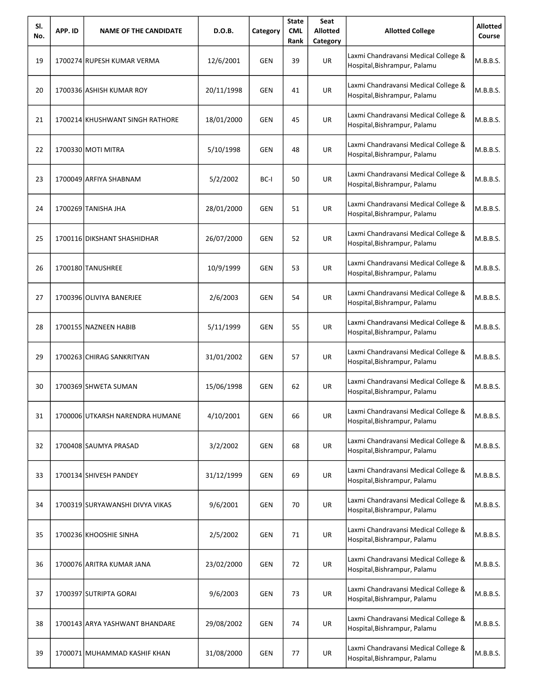| SI.<br>No. | APP. ID | <b>NAME OF THE CANDIDATE</b>    | D.O.B.     | Category   | <b>State</b><br><b>CML</b><br>Rank | Seat<br><b>Allotted</b><br>Category | <b>Allotted College</b>                                              | <b>Allotted</b><br>Course |
|------------|---------|---------------------------------|------------|------------|------------------------------------|-------------------------------------|----------------------------------------------------------------------|---------------------------|
| 19         |         | 1700274 RUPESH KUMAR VERMA      | 12/6/2001  | <b>GEN</b> | 39                                 | <b>UR</b>                           | Laxmi Chandravansi Medical College &<br>Hospital, Bishrampur, Palamu | M.B.B.S.                  |
| 20         |         | 1700336 ASHISH KUMAR ROY        | 20/11/1998 | GEN        | 41                                 | <b>UR</b>                           | Laxmi Chandravansi Medical College &<br>Hospital, Bishrampur, Palamu | M.B.B.S.                  |
| 21         |         | 1700214 KHUSHWANT SINGH RATHORE | 18/01/2000 | <b>GEN</b> | 45                                 | <b>UR</b>                           | Laxmi Chandravansi Medical College &<br>Hospital, Bishrampur, Palamu | M.B.B.S.                  |
| 22         |         | 1700330 MOTI MITRA              | 5/10/1998  | GEN        | 48                                 | UR                                  | Laxmi Chandravansi Medical College &<br>Hospital, Bishrampur, Palamu | M.B.B.S.                  |
| 23         |         | 1700049 ARFIYA SHABNAM          | 5/2/2002   | BC-I       | 50                                 | <b>UR</b>                           | Laxmi Chandravansi Medical College &<br>Hospital, Bishrampur, Palamu | M.B.B.S.                  |
| 24         |         | 1700269 TANISHA JHA             | 28/01/2000 | <b>GEN</b> | 51                                 | <b>UR</b>                           | Laxmi Chandravansi Medical College &<br>Hospital, Bishrampur, Palamu | M.B.B.S.                  |
| 25         |         | 1700116 DIKSHANT SHASHIDHAR     | 26/07/2000 | <b>GEN</b> | 52                                 | UR                                  | Laxmi Chandravansi Medical College &<br>Hospital, Bishrampur, Palamu | M.B.B.S.                  |
| 26         |         | 1700180 TANUSHREE               | 10/9/1999  | GEN        | 53                                 | <b>UR</b>                           | Laxmi Chandravansi Medical College &<br>Hospital, Bishrampur, Palamu | M.B.B.S.                  |
| 27         |         | 1700396 OLIVIYA BANERJEE        | 2/6/2003   | GEN        | 54                                 | <b>UR</b>                           | Laxmi Chandravansi Medical College &<br>Hospital, Bishrampur, Palamu | M.B.B.S.                  |
| 28         |         | 1700155 NAZNEEN HABIB           | 5/11/1999  | GEN        | 55                                 | UR                                  | Laxmi Chandravansi Medical College &<br>Hospital, Bishrampur, Palamu | M.B.B.S.                  |
| 29         |         | 1700263 CHIRAG SANKRITYAN       | 31/01/2002 | <b>GEN</b> | 57                                 | UR                                  | Laxmi Chandravansi Medical College &<br>Hospital, Bishrampur, Palamu | M.B.B.S.                  |
| 30         |         | 1700369 SHWETA SUMAN            | 15/06/1998 | <b>GEN</b> | 62                                 | <b>UR</b>                           | Laxmi Chandravansi Medical College &<br>Hospital, Bishrampur, Palamu | M.B.B.S.                  |
| 31         |         | 1700006 UTKARSH NARENDRA HUMANE | 4/10/2001  | <b>GEN</b> | 66                                 | UR                                  | Laxmi Chandravansi Medical College &<br>Hospital, Bishrampur, Palamu | M.B.B.S.                  |
| 32         |         | 1700408 SAUMYA PRASAD           | 3/2/2002   | GEN        | 68                                 | <b>UR</b>                           | Laxmi Chandravansi Medical College &<br>Hospital, Bishrampur, Palamu | M.B.B.S.                  |
| 33         |         | 1700134 SHIVESH PANDEY          | 31/12/1999 | <b>GEN</b> | 69                                 | <b>UR</b>                           | Laxmi Chandravansi Medical College &<br>Hospital, Bishrampur, Palamu | M.B.B.S.                  |
| 34         |         | 1700319 SURYAWANSHI DIVYA VIKAS | 9/6/2001   | <b>GEN</b> | 70                                 | UR                                  | Laxmi Chandravansi Medical College &<br>Hospital, Bishrampur, Palamu | M.B.B.S.                  |
| 35         |         | 1700236 KHOOSHIE SINHA          | 2/5/2002   | GEN        | 71                                 | <b>UR</b>                           | Laxmi Chandravansi Medical College &<br>Hospital, Bishrampur, Palamu | M.B.B.S.                  |
| 36         |         | 1700076 ARITRA KUMAR JANA       | 23/02/2000 | GEN        | 72                                 | <b>UR</b>                           | Laxmi Chandravansi Medical College &<br>Hospital, Bishrampur, Palamu | M.B.B.S.                  |
| 37         |         | 1700397 SUTRIPTA GORAI          | 9/6/2003   | <b>GEN</b> | 73                                 | UR                                  | Laxmi Chandravansi Medical College &<br>Hospital, Bishrampur, Palamu | M.B.B.S.                  |
| 38         |         | 1700143 ARYA YASHWANT BHANDARE  | 29/08/2002 | <b>GEN</b> | 74                                 | <b>UR</b>                           | Laxmi Chandravansi Medical College &<br>Hospital, Bishrampur, Palamu | M.B.B.S.                  |
| 39         |         | 1700071 MUHAMMAD KASHIF KHAN    | 31/08/2000 | GEN        | 77                                 | <b>UR</b>                           | Laxmi Chandravansi Medical College &<br>Hospital, Bishrampur, Palamu | M.B.B.S.                  |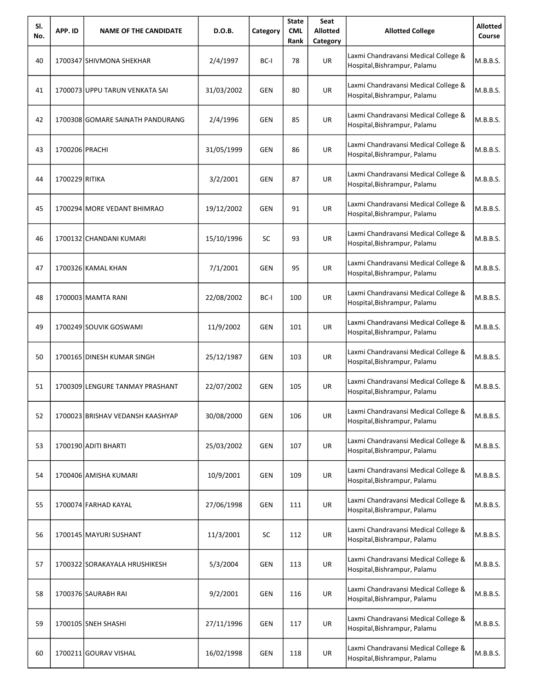| SI.<br>No. | APP. ID        | <b>NAME OF THE CANDIDATE</b>     | D.O.B.     | Category   | <b>State</b><br><b>CML</b><br>Rank | Seat<br><b>Allotted</b><br>Category | <b>Allotted College</b>                                              | <b>Allotted</b><br>Course |
|------------|----------------|----------------------------------|------------|------------|------------------------------------|-------------------------------------|----------------------------------------------------------------------|---------------------------|
| 40         |                | 1700347 SHIVMONA SHEKHAR         | 2/4/1997   | BC-I       | 78                                 | UR                                  | Laxmi Chandravansi Medical College &<br>Hospital, Bishrampur, Palamu | M.B.B.S.                  |
| 41         |                | 1700073 UPPU TARUN VENKATA SAI   | 31/03/2002 | GEN        | 80                                 | <b>UR</b>                           | Laxmi Chandravansi Medical College &<br>Hospital, Bishrampur, Palamu | M.B.B.S.                  |
| 42         |                | 1700308 GOMARE SAINATH PANDURANG | 2/4/1996   | <b>GEN</b> | 85                                 | <b>UR</b>                           | Laxmi Chandravansi Medical College &<br>Hospital, Bishrampur, Palamu | M.B.B.S.                  |
| 43         | 1700206 PRACHI |                                  | 31/05/1999 | GEN        | 86                                 | UR                                  | Laxmi Chandravansi Medical College &<br>Hospital, Bishrampur, Palamu | M.B.B.S.                  |
| 44         | 1700229 RITIKA |                                  | 3/2/2001   | GEN        | 87                                 | <b>UR</b>                           | Laxmi Chandravansi Medical College &<br>Hospital, Bishrampur, Palamu | M.B.B.S.                  |
| 45         |                | 1700294 MORE VEDANT BHIMRAO      | 19/12/2002 | <b>GEN</b> | 91                                 | <b>UR</b>                           | Laxmi Chandravansi Medical College &<br>Hospital, Bishrampur, Palamu | M.B.B.S.                  |
| 46         |                | 1700132 CHANDANI KUMARI          | 15/10/1996 | <b>SC</b>  | 93                                 | UR                                  | Laxmi Chandravansi Medical College &<br>Hospital, Bishrampur, Palamu | M.B.B.S.                  |
| 47         |                | 1700326 KAMAL KHAN               | 7/1/2001   | GEN        | 95                                 | <b>UR</b>                           | Laxmi Chandravansi Medical College &<br>Hospital, Bishrampur, Palamu | M.B.B.S.                  |
| 48         |                | 1700003 MAMTA RANI               | 22/08/2002 | BC-I       | 100                                | <b>UR</b>                           | Laxmi Chandravansi Medical College &<br>Hospital, Bishrampur, Palamu | M.B.B.S.                  |
| 49         |                | 1700249 SOUVIK GOSWAMI           | 11/9/2002  | GEN        | 101                                | UR                                  | Laxmi Chandravansi Medical College &<br>Hospital, Bishrampur, Palamu | M.B.B.S.                  |
| 50         |                | 1700165 DINESH KUMAR SINGH       | 25/12/1987 | <b>GEN</b> | 103                                | <b>UR</b>                           | Laxmi Chandravansi Medical College &<br>Hospital, Bishrampur, Palamu | M.B.B.S.                  |
| 51         |                | 1700309 LENGURE TANMAY PRASHANT  | 22/07/2002 | <b>GEN</b> | 105                                | <b>UR</b>                           | Laxmi Chandravansi Medical College &<br>Hospital, Bishrampur, Palamu | M.B.B.S.                  |
| 52         |                | 1700023 BRISHAV VEDANSH KAASHYAP | 30/08/2000 | GEN        | 106                                | UR                                  | Laxmi Chandravansi Medical College &<br>Hospital, Bishrampur, Palamu | M.B.B.S.                  |
| 53         |                | 1700190 ADITI BHARTI             | 25/03/2002 | <b>GEN</b> | 107                                | <b>UR</b>                           | Laxmi Chandravansi Medical College &<br>Hospital, Bishrampur, Palamu | M.B.B.S.                  |
| 54         |                | 1700406 AMISHA KUMARI            | 10/9/2001  | <b>GEN</b> | 109                                | <b>UR</b>                           | Laxmi Chandravansi Medical College &<br>Hospital, Bishrampur, Palamu | M.B.B.S.                  |
| 55         |                | 1700074 FARHAD KAYAL             | 27/06/1998 | <b>GEN</b> | 111                                | UR                                  | Laxmi Chandravansi Medical College &<br>Hospital, Bishrampur, Palamu | M.B.B.S.                  |
| 56         |                | 1700145 MAYURI SUSHANT           | 11/3/2001  | SC         | 112                                | <b>UR</b>                           | Laxmi Chandravansi Medical College &<br>Hospital, Bishrampur, Palamu | M.B.B.S.                  |
| 57         |                | 1700322 SORAKAYALA HRUSHIKESH    | 5/3/2004   | <b>GEN</b> | 113                                | <b>UR</b>                           | Laxmi Chandravansi Medical College &<br>Hospital, Bishrampur, Palamu | M.B.B.S.                  |
| 58         |                | 1700376 SAURABH RAI              | 9/2/2001   | <b>GEN</b> | 116                                | UR                                  | Laxmi Chandravansi Medical College &<br>Hospital, Bishrampur, Palamu | M.B.B.S.                  |
| 59         |                | 1700105 SNEH SHASHI              | 27/11/1996 | GEN        | 117                                | <b>UR</b>                           | Laxmi Chandravansi Medical College &<br>Hospital, Bishrampur, Palamu | M.B.B.S.                  |
| 60         |                | 1700211 GOURAV VISHAL            | 16/02/1998 | GEN        | 118                                | <b>UR</b>                           | Laxmi Chandravansi Medical College &<br>Hospital, Bishrampur, Palamu | M.B.B.S.                  |